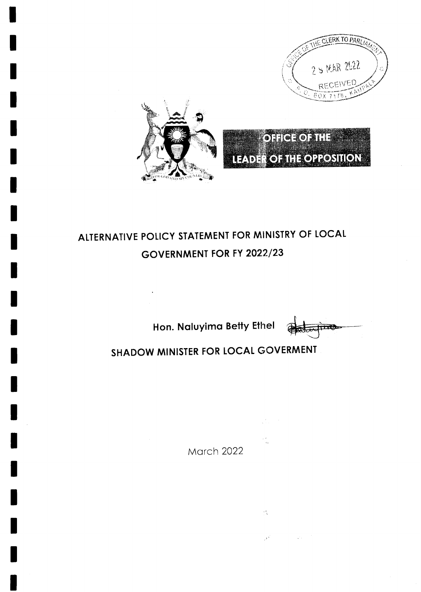

# ALTERNATIVE POLICY STATEMENT FOR MINISTRY OF LOCAL GOVERNMENT FOR FY 2022/23

Hon. Naluyima Betty Ethel

 $\overline{\textbf{m}}$ 

# SHADOW MINISTER FOR LOCAL GOVERMENT

March 2022

 $\frac{1}{\sqrt{2}}\int_{0}^{2\pi} \frac{1}{\sqrt{2}}\left( \frac{1}{\sqrt{2}}\right) \left( \frac{1}{\sqrt{2}}\right) \frac{1}{\sqrt{2}}\left( \frac{1}{\sqrt{2}}\right)$ 

 $\frac{1}{\sqrt{2}}\frac{d\phi}{d\phi}$ 

 $\frac{2\pi}{3}$  .

 $\mathcal{F}^{\mathbb{Z}}$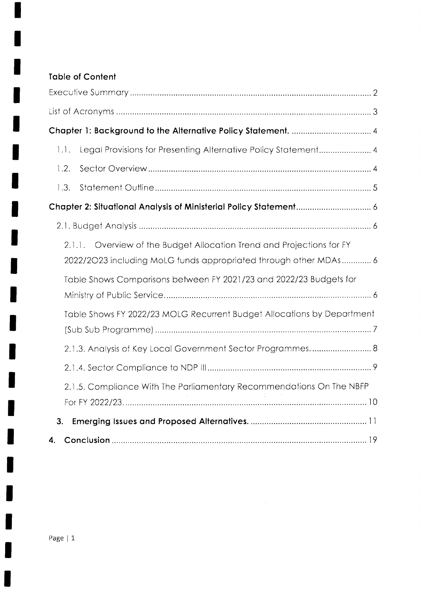# **Table of Content**

| Legal Provisions for Presenting Alternative Policy Statement 4<br>$\lfloor . \rfloor$ .                                                   |
|-------------------------------------------------------------------------------------------------------------------------------------------|
| 1.2.                                                                                                                                      |
| 1.3.                                                                                                                                      |
|                                                                                                                                           |
|                                                                                                                                           |
| 2.1.1. Overview of the Budget Allocation Trend and Projections for FY<br>2022/2023 including MoLG funds appropriated through other MDAs 6 |
| Table Shows Comparisons between FY 2021/23 and 2022/23 Budgets for                                                                        |
| Table Shows FY 2022/23 MOLG Recurrent Budget Allocations by Department                                                                    |
| 2.1.3. Analysis of Key Local Government Sector Programmes 8                                                                               |
|                                                                                                                                           |
| 2.1.5. Compliance With The Parliamentary Recommendations On The NBFP                                                                      |
|                                                                                                                                           |
| 3.                                                                                                                                        |
| 4.                                                                                                                                        |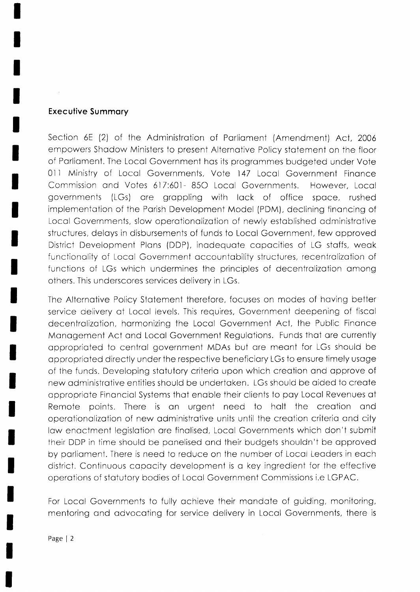### **Executive Summary**

Section 6E (2) of the Administration of Parliament (Amendment) Act, 2006 empowers Shadow Ministers to present Alternative Policy statement on the floor of Parliament. The Local Government has its programmes budgeted under Vote 011 Ministry of Local Governments, Vote 147 Local Government Finance Commission and Votes 617:601-850 Local Governments. However, Local governments (LGs) are grappling with lack of office space, rushed implementation of the Parish Development Model (PDM), declining financing of Local Governments, slow operationalization of newly established administrative structures, delays in disbursements of funds to Local Government, few approved District Development Plans (DDP), inadequate capacities of LG staffs, weak functionality of Local Government accountability structures, recentralization of functions of LGs which undermines the principles of decentralization among others. This underscores services delivery in LGs.

The Alternative Policy Statement therefore, focuses on modes of having better service delivery at Local levels. This requires, Government deepening of fiscal decentralization, harmonizing the Local Government Act, the Public Finance Management Act and Local Government Regulations. Funds that are currently appropriated to central government MDAs but are meant for LGs should be appropriated directly under the respective beneficiary LGs to ensure timely usage of the funds. Developing statutory criteria upon which creation and approve of new administrative entities should be undertaken. LGs should be aided to create appropriate Financial Systems that enable their clients to pay Local Revenues at Remote points. There is an urgent need to hall the creation and operationalization of new administrative units until the creation criteria and city law enactment legislation are finalised, Local Governments which don't submit their DDP in time should be panelised and their budgets shouldn't be approved by parliament. There is need to reduce on the number of Local Leaders in each district. Continuous capacity development is a key ingredient for the effective operations of statutory bodies of Local Government Commissions i.e LGPAC.

For Local Governments to fully achieve their mandate of guiding, monitoring, mentoring and advocating for service delivery in Local Governments, there is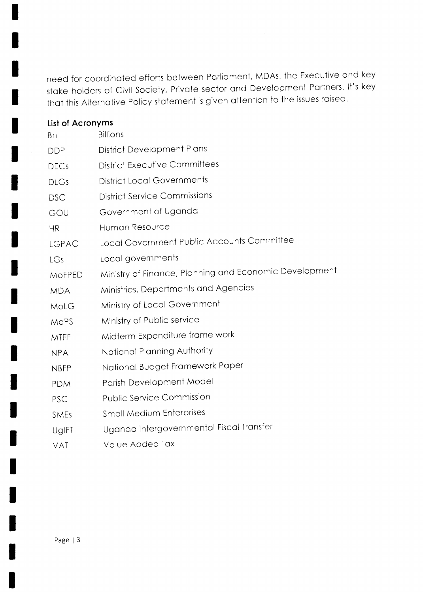need for coordinated efforts between Parliament, MDAs, the Executive and key stake holders of Civil Society, Private sector and Development Partners. It's key that this Alternative Policy statement is given attention to the issues raised.

| List of Acronyms |                                                        |
|------------------|--------------------------------------------------------|
| Bn               | <b>Billions</b>                                        |
| <b>DDP</b>       | <b>District Development Plans</b>                      |
| <b>DECs</b>      | <b>District Executive Committees</b>                   |
| <b>DLGs</b>      | <b>District Local Governments</b>                      |
| <b>DSC</b>       | <b>District Service Commissions</b>                    |
| GOU              | Government of Uganda                                   |
| <b>HR</b>        | Human Resource                                         |
| LGPAC            | Local Government Public Accounts Committee             |
| <b>LGs</b>       | Local governments                                      |
| MOFPED           | Ministry of Finance, Planning and Economic Development |
| <b>MDA</b>       | Ministries, Departments and Agencies                   |
| MoLG             | Ministry of Local Government                           |
| <b>MOPS</b>      | Ministry of Public service                             |
| <b>MTEF</b>      | Midterm Expenditure frame work                         |
| <b>NPA</b>       | National Planning Authority                            |
| <b>NBFP</b>      | National Budget Framework Paper                        |
| <b>PDM</b>       | Parish Development Model                               |
| PSC              | <b>Public Service Commission</b>                       |
| SMEs             | <b>Small Medium Enterprises</b>                        |
| UgIFT            | Uganda Intergovernmental Fiscal Transfer               |
| <b>VAT</b>       | Value Added Tax                                        |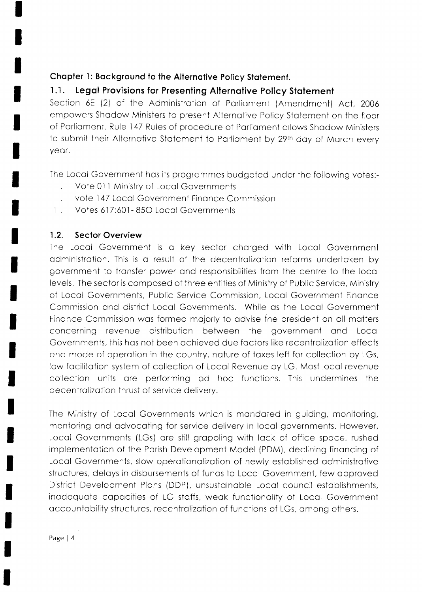# Chapter 1: Background to the Alternative Policy Statement.

#### Legal Provisions for Presenting Alternative Policy Statement  $1.1.$

Section 6E (2) of the Administration of Parliament (Amendment) Act, 2006 empowers Shadow Ministers to present Alternative Policy Statement on the floor of Parliament. Rule 147 Rules of procedure of Parliament allows Shadow Ministers to submit their Alternative Statement to Parliament by 29th day of March every year.

The Local Government has its programmes budgeted under the following votes:-

- Vote 011 Ministry of Local Governments  $\mathbf{L}$
- $\mathbb{I}$ . vote 147 Local Government Finance Commission
- $III.$ Votes 617:601-850 Local Governments

#### $1.2.$ **Sector Overview**

The Local Government is a key sector charged with Local Government administration. This is a result of the decentralization reforms undertaken by government to transfer power and responsibilities from the centre to the local levels. The sector is composed of three entities of Ministry of Public Service, Ministry of Local Governments, Public Service Commission, Local Government Finance Commission and district Local Governments. While as the Local Government Finance Commission was formed majorly to advise the president on all matters concerning revenue distribution between the government and Local Governments, this has not been achieved due factors like recentralization effects and mode of operation in the country, nature of taxes left for collection by LGs, low facilitation system of collection of Local Revenue by LG. Most local revenue collection units are performing ad hoc functions. This undermines the decentralization thrust of service delivery.

The Ministry of Local Governments which is mandated in guiding, monitoring, mentoring and advocating for service delivery in local governments. However, Local Governments (LGs) are still grappling with lack of office space, rushed implementation of the Parish Development Model (PDM), declining financing of Local Governments, slow operationalization of newly established administrative structures, delays in disbursements of funds to Local Government, few approved District Development Plans (DDP), unsustainable Local council establishments, inadequate capacities of LG staffs, weak functionality of Local Government accountability structures, recentralization of functions of LGs, among others.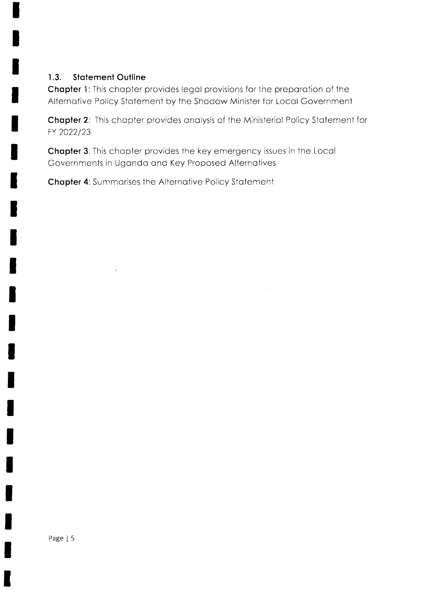### 1.3. Statement Outline

Chapter 1: This chapter provides legal provisions for the preparation of the Alternative Policy Statement by the Shadow Minister for Local Government

Chapter 2: This chapter provides analysis of the Ministerial Policy Statement for FY 2022/23

Chapter 3: This chapter provides the key emergency issues in the Local Governments in Ugondo ond Key Proposed Alternotives

Chapter 4: Summarises the Alternative Policy Statement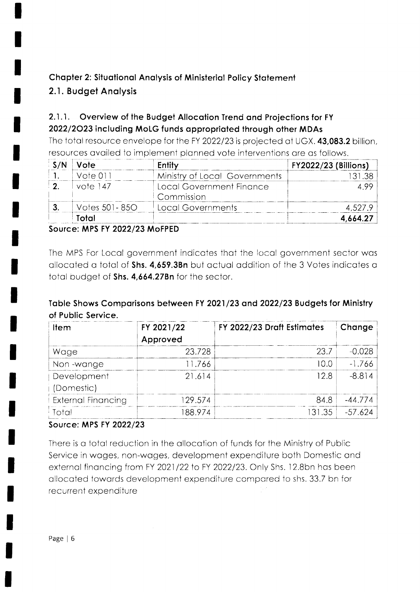# **Chapter 2: Situational Analysis of Ministerial Policy Statement**

# 2.1. Budget Analysis

#### $2.1.1.$ Overview of the Budget Allocation Trend and Projections for FY 2022/2023 including MoLG funds appropriated through other MDAs

The total resource envelope for the FY 2022/23 is projected at UGX. 43,083.2 billion, resources availed to implement planned vote interventions are as follows.

| Vote          | Entity                                 | <b>FY2022/23 (Billions)</b> |
|---------------|----------------------------------------|-----------------------------|
| Vote 01.      | Ministry of Local Governments          |                             |
| vote 147      | Local Government Finance<br>Commission |                             |
| Votes 501-850 | Local Governments                      |                             |
| Total         |                                        |                             |

# Source: MPS FY 2022/23 MoFPED

The MPS For Local government indicates that the local government sector was allocated a total of Shs. 4,659.3Bn but actual addition of the 3 Votes indicates a total budget of Shs. 4,664.27Bn for the sector.

# Table Shows Comparisons between FY 2021/23 and 2022/23 Budgets for Ministry of Public Service.

| ltem                      | FY 2021/22 | FY 2022/23 Draft Estimates | Change    |
|---------------------------|------------|----------------------------|-----------|
|                           | Approved   |                            |           |
| Wage                      | 23.728     | 23.7                       | -N N28    |
| Non-wange                 | 11.766     |                            | $-1.766$  |
| Development               | 21.614     | 12 8                       | $-8.814$  |
| (Domestic)                |            |                            |           |
| <b>External Financing</b> | 129.574    | 84.8                       | $-44.774$ |
| Total                     | 188.974    | 31.35                      | $-57.624$ |

# Source: MPS FY 2022/23

There is a total reduction in the allocation of funds for the Ministry of Public Service in wages, non-wages, development expenditure both Domestic and external financing from FY 2021/22 to FY 2022/23. Only Shs. 12.8bn has been allocated towards development expenditure compared to shs. 33.7 bn for recurrent expenditure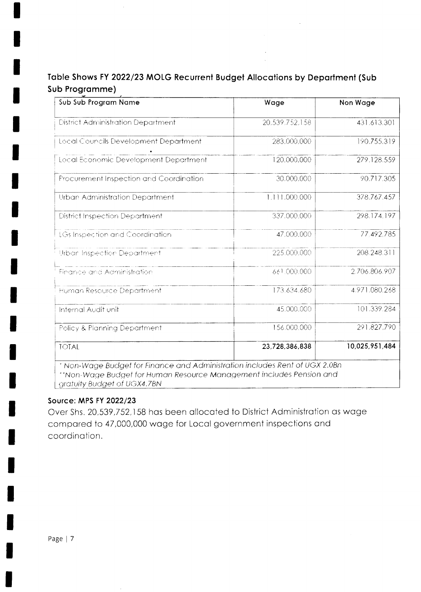# Table Shows FY 2022/23 MOLG Recurrent Budget Allocations by Department (Sub Sub Programme)

| Sub Sub Program Name                                                                                                                                | Wage           | Non Wage       |
|-----------------------------------------------------------------------------------------------------------------------------------------------------|----------------|----------------|
| <b>District Administration Department</b>                                                                                                           | 20,539,752,158 | 431.613.301    |
| Local Councils Development Department                                                                                                               | 283,000,000    | 190,755,319    |
| Local Economic Development Department                                                                                                               | 120,000,000    | 279,128.559    |
| Procurement Inspection and Coordination                                                                                                             | 30.000,000     | 90.717.305     |
| Urban Administration Department                                                                                                                     | 1,111.000.000  | 378,767.457    |
| <b>District Inspection Department</b>                                                                                                               | 337,000,000    | 298.174.197    |
| <b>LGs Inspection and Coordination</b>                                                                                                              | 47,000,000     | 77,492,785     |
| Urban Inspection Department                                                                                                                         | 225,000,000    | 208.248.311    |
| Finance and Administration                                                                                                                          | 661.000.000    | 2.706.806.907  |
| Human Resource Department                                                                                                                           | 173.634.680    | 4.971.080,268  |
| Internal Audit unit                                                                                                                                 | 45,000,000     | 101.339.284    |
| Policy & Planning Department                                                                                                                        | 156.000,000    | 291.827,790    |
| <b>TOTAL</b>                                                                                                                                        | 23,728,386,838 | 10,025,951,484 |
| * Non-Wage Budget for Finance and Administration includes Rent of UGX 2.0Bn<br>**Non-Wage Budget for Human Resource Management includes Pension and |                |                |

gratuity Budget of UGX4.7BN

### Source: MPS FY 2022/23

Over Shs. 20,539,752,158 has been allocated to District Administration as wage compared to 47,000,000 wage for Local government inspections and coordination.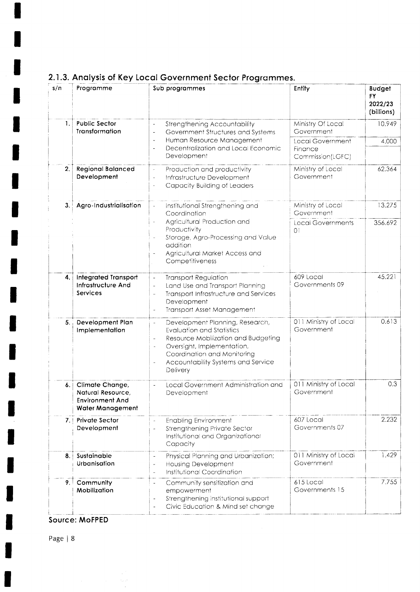| s/n | Programme                                                                                 | Sub programmes                                                                                                                                                                                                                             | Entity                                                 | <b>Budget</b><br><b>FY</b><br>2022/23<br>(billions) |
|-----|-------------------------------------------------------------------------------------------|--------------------------------------------------------------------------------------------------------------------------------------------------------------------------------------------------------------------------------------------|--------------------------------------------------------|-----------------------------------------------------|
| 1.  | <b>Public Sector</b><br>Transformation                                                    | Strengthening Accountability<br>Government Structures and Systems                                                                                                                                                                          | Ministry Of Local<br>Government                        | 10.949                                              |
|     |                                                                                           | Human Resource Management<br>$\overline{\phantom{a}}$<br>Decentralization and Local Economic<br>Development                                                                                                                                | <b>Local Government</b><br>Finance<br>Commission(LGFC) | 4.000                                               |
| 2.  | <b>Regional Balanced</b><br>Development                                                   | Production and productivity<br>Infrastructure Development<br>Capacity Building of Leaders                                                                                                                                                  | Ministry of Local<br>Government                        | 62.364                                              |
| 3.1 | Agro-Industrialisation                                                                    | Institutional Strengthening and<br>Coordination                                                                                                                                                                                            | Ministry of Local<br>Government                        | 13.275                                              |
|     |                                                                                           | Agricultural Production and<br>Productivity<br>Storage, Agro-Processing and Value<br>addition<br>Agricultural Market Access and<br>Competitiveness                                                                                         | <b>Local Governments</b><br>$\Omega$                   | 356.692                                             |
| 4.1 | <b>Integrated Transport</b><br>Infrastructure And<br><b>Services</b>                      | <b>Transport Regulation</b><br>$\overline{\phantom{a}}$<br>Land Use and Transport Planning<br>$\bar{\phantom{a}}$<br>Transport Infrastructure and Services<br>$\overline{\phantom{a}}$<br>Development<br><b>Transport Asset Management</b> | 609 Local<br>Governments 09                            | 45.221                                              |
| 5.  | Development Plan<br>Implementation                                                        | Development Planning, Research,<br><b>Evaluation and Statistics</b><br>Resource Mobilization and Budgeting<br>Oversight, Implementation,<br>Coordination and Monitoring<br>Accountability Systems and Service<br>$\bar{~}$<br>Delivery     | 011 Ministry of Local<br>Government                    | 0.613                                               |
| 6.  | Climate Change,<br>Natural Resource.<br><b>Environment And</b><br><b>Water Management</b> | Local Government Administration and<br>Development                                                                                                                                                                                         | 011 Ministry of Local<br>Government                    | 0.3                                                 |
|     | 7. Private Sector<br>Development                                                          | <b>Enabling Environment</b><br>Strengthening Private Sector<br>Institutional and Organizational<br>Capacity                                                                                                                                | 607 Local<br>Governments 07                            | 2.232                                               |
| 8.  | Sustainable<br>Urbanisation                                                               | Physical Planning and Urbanization;<br><b>Housing Development</b><br><b>Institutional Coordination</b><br>÷.                                                                                                                               | 011 Ministry of Local<br>Government                    | 1.429                                               |
| 9.  | Community<br>Mobilization                                                                 | Community sensitization and<br>$\blacksquare$<br>empowerment<br>Strengthening institutional support<br>Civic Education & Mind set change                                                                                                   | 615 Local<br>Governments 15                            | 7.755                                               |

# 2.1.3. Analysis of Key Local Government Sector Programmes.

Source: MoFPED

 $\label{eq:2} \begin{split} \mathcal{L}_{\text{max}}(\mathbf{r}) = \frac{1}{2} \mathcal{L}_{\text{max}}(\mathbf{r}) \,, \end{split}$ 

 $\sim$ 

Page | 8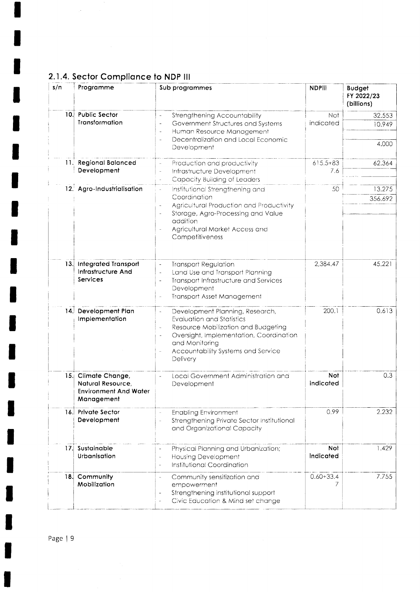# 2.1.4. Sector Compliance to NDP III

 $\langle \hat{p}^{\dagger}_{\mu} \rangle$ 

| s/n | Programme                                                                              | Sub programmes                                                                                                                                                                                                                  | <b>NDPill</b>       | <b>Budget</b><br>FY 2022/23<br>(billions) |
|-----|----------------------------------------------------------------------------------------|---------------------------------------------------------------------------------------------------------------------------------------------------------------------------------------------------------------------------------|---------------------|-------------------------------------------|
|     | 10. Public Sector<br>Transformation                                                    | Strengthening Accountability<br>$\frac{1}{2}$<br>Government Structures and Systems<br>Human Resource Management<br>Decentralization and Local Economic<br>Development                                                           | Not<br>indicated    | 32.553<br>10.949<br>4.000                 |
|     | 11. Regional Balanced<br>Development                                                   | Production and productivity<br>Infrastructure Development<br>ä,<br>Capacity Building of Leaders                                                                                                                                 | $615.5 + 83$<br>7.6 | 62.364                                    |
|     | 12. Agro-Industrialisation                                                             | Institutional Strengthening and<br>à,<br>Coordination<br>Agricultural Production and Productivity<br>Storage, Agro-Processing and Value<br>addition<br>Agricultural Market Access and<br>Competitiveness                        | 50                  | 13.275<br>356.692                         |
| 13. | <b>Integrated Transport</b><br>Infrastructure And<br>Services                          | <b>Transport Regulation</b><br>$\overline{\phantom{a}}$<br>Land Use and Transport Planning<br>$\frac{1}{2}$<br>Transport Infrastructure and Services<br>Development<br>Transport Asset Management                               | 2,384.47            | 45.221                                    |
|     | 14. Development Plan<br>Implementation                                                 | Development Planning, Research,<br>ä,<br><b>Evaluation and Statistics</b><br>Resource Mobilization and Budgeting<br>Oversight, Implementation, Coordination<br>and Monitoring<br>Accountability Systems and Service<br>Delivery | 200.1               | 0.613                                     |
|     | 15. Climate Change,<br>Natural Resource,<br><b>Environment And Water</b><br>Management | Local Government Administration and<br>Development                                                                                                                                                                              | Not<br>indicated    | 0.3                                       |
|     | 16. Private Sector<br>Development                                                      | <b>Enabling Environment</b><br>Strengthening Private Sector Institutional<br>$\overline{a}$<br>and Organizational Capacity                                                                                                      | 0.99                | 2.232                                     |
|     | 17. Sustainable<br>Urbanisation                                                        | Physical Planning and Urbanization;<br><b>Housing Development</b><br>$\overline{\phantom{a}}$<br>Institutional Coordination<br>$\overline{\phantom{a}}$                                                                         | Not<br>indicated    | 1.429                                     |
| 18. | Community<br>Mobilization                                                              | Community sensitization and<br>$\overline{\phantom{a}}$<br>empowerment<br>Strengthening institutional support<br>Civic Education & Mind set change                                                                              | $0.60 + 33.4$       | 7.755                                     |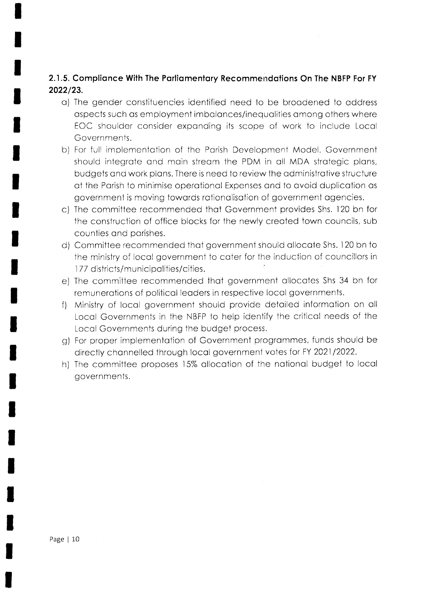# 2.1.5. Complionce With The Porliomentory Recommendotions On The NBFP For FY 2022/23.

- o) The gender constituencies identified need to be broodened to oddress ospects such os employment imbolonces/inequolities omong others where EOC shoulder consider exponding its scope of work to include Locol Governments.
- b) For full implementotion of the Porish Development Model. Government should integrote ond moin streom the PDM in oll MDA strotegic plons, budgets ond work plons. There is need to review the odministrotive structure of the Porish to minimise operotionol Expenses ond to ovoid duplicotion os government is moving towords rotionolisotion of government ogencies.
- c) The conrmittee recommended ihot Government provides Shs. l20 bn for the construction of office blocks for the newly creoted town councils, sub counties and parishes.
- d) Committee recommended thot government should ollocote Shs. 120 bn to the ministry of locol government to coter for the induction of councillors in 177 districts/municipalities/cities.
- e) The commiitee recommended thot government ollocotes Shs 34 bn for remunerations of political leaders in respective local governments.
- f) Ministry of local government should provide detailed information on all Locol Governments in the NBFP to help identify the criticol needs of the Locol Governments during the budget process.
- g) For proper implementotion of Government progrommes, funds should be directly channelled through local government votes for FY 2021/2022.
- h) The committee proposes 15% allocation of the national budget to local governments.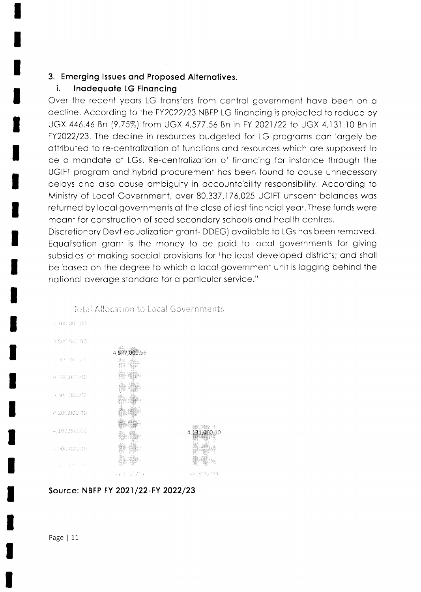#### 3. Emerging Issues and Proposed Alternatives.

#### i. Inadequate LG Financing

Over the recent years LG transfers from central government have been on a decline. According to the FY2022/23 NBFP LG financing is projected to reduce by UGX 446.46 Bn (9.75%) from UGX 4,577.56 Bn in FY 2021/22 to UGX 4,131.10 Bn in FY2022/23. The decline in resources budgeted for LG programs can largely be attributed to re-centralization of functions and resources which are supposed to be a mandate of LGs. Re-centralization of financing for instance through the UGIFT program and hybrid procurement has been found to cause unnecessary delays and also cause ambiguity in accountability responsibility. According to Ministry of Local Government, over 80,337,176,025 UGIFT unspent balances was returned by local governments at the close of last financial year. These funds were meant for construction of seed secondary schools and health centres.

Discretionary Devt equalization grant-DDEG) available to LGs has been removed. Equalisation grant is the money to be paid to local governments for giving subsidies or making special provisions for the least developed districts; and shall be based on the degree to which a local government unit is lagging behind the national average standard for a particular service."



### **Total Allocation to Local Governments**

# Source: NBFP FY 2021/22-FY 2022/23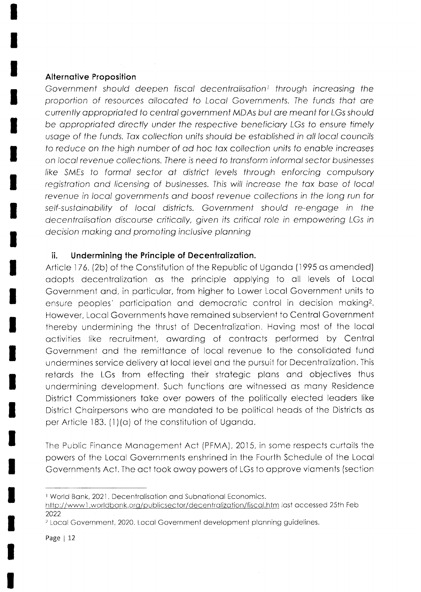### **Alternative Proposition**

Government should deepen fiscal decentralisation<sup>1</sup> through increasing the proportion of resources allocated to Local Governments. The funds that are currently appropriated to central government MDAs but are meant for LGs should be appropriated directly under the respective beneficiary LGs to ensure timely usage of the funds. Tax collection units should be established in all local councils to reduce on the high number of ad hoc tax collection units to enable increases on local revenue collections. There is need to transform informal sector businesses like SMEs to formal sector at district levels through enforcing compulsory registration and licensing of businesses. This will increase the tax base of local revenue in local governments and boost revenue collections in the long run for self-sustainability of local districts. Government should re-engage in the decentralisation discourse critically, given its critical role in empowering LGs in decision making and promoting inclusive planning

#### ii. Undermining the Principle of Decentralization.

Article 176, (2b) of the Constitution of the Republic of Uganda (1995 as amended) adopts decentralization as the principle applying to all levels of Local Government and, in particular, from higher to Lower Local Government units to ensure peoples' participation and democratic control in decision making<sup>2</sup>. However, Local Governments have remained subservient to Central Government thereby undermining the thrust of Decentralization. Having most of the local activities like recruitment, awarding of contracts performed by Central Government and the remittance of local revenue to the consolidated fund undermines service delivery at local level and the pursuit for Decentralization. This retards the LGs from effecting their strategic plans and objectives thus undermining development. Such functions are witnessed as many Residence District Commissioners take over powers of the politically elected leaders like District Chairpersons who are mandated to be political heads of the Districts as per Article 183. (1)(a) of the constitution of Uganda.

The Public Finance Management Act (PFMA), 2015, in some respects curtails the powers of the Local Governments enshrined in the Fourth Schedule of the Local Governments Act. The act took away powers of LGs to approve viaments (section

<sup>&</sup>lt;sup>1</sup> World Bank, 2021. Decentralisation and Subnational Economics.

http://www1.worldbank.org/publicsector/decentralization/fiscal.htm last accessed 25th Feb 2022

<sup>&</sup>lt;sup>2</sup> Local Government, 2020. Local Government development planning guidelines.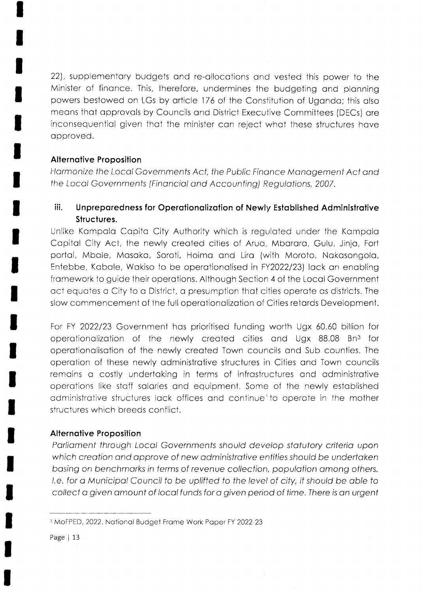22), supplementary budgets and re-allocations and vested this power to the Minister of finance. This, therefore, undermines the budgeting and planning powers bestowed on LGs by article 176 of the Constitution of Uganda; this also means that approvals by Councils and District Executive Committees (DECs) are inconsequential given that the minister can reject what these structures have approved.

# **Alternative Proposition**

Harmonize the Local Governments Act, the Public Finance Management Act and the Local Governments (Financial and Accounting) Regulations, 2007.

#### iii. Unpreparedness for Operationalization of Newly Established Administrative Structures.

Unlike Kampala Capita City Authority which is regulated under the Kampala Capital City Act, the newly created cities of Arua, Mbarara, Gulu, Jinja, Fort portal, Mbale, Masaka, Soroti, Hoima and Lira (with Moroto, Nakasongola, Entebbe, Kabale, Wakiso to be operationalised in FY2022/23) lack an enabling framework to guide their operations. Although Section 4 of the Local Government act equates a City to a District, a presumption that cities operate as districts. The slow commencement of the full operationalization of Cities retards Development.

For FY 2022/23 Government has prioritised funding worth Ugx 60.60 billion for operationalization of the newly created cities and Ugx 88.08 Bn<sup>3</sup> for operationalisation of the newly created Town councils and Sub counties. The operation of these newly administrative structures in Cities and Town councils remains a costly undertaking in terms of infrastructures and administrative operations like staff salaries and equipment. Some of the newly established administrative structures lack offices and continue to operate in the mother structures which breeds conflict.

# **Alternative Proposition**

Parliament through Local Governments should develop statutory criteria upon which creation and approve of new administrative entities should be undertaken basing on benchmarks in terms of revenue collection, population among others. I.e. for a Municipal Council to be uplifted to the level of city, it should be able to collect a given amount of local funds for a given period of time. There is an urgent

<sup>&</sup>lt;sup>3</sup> MoFPED, 2022. National Budget Frame Work Paper FY 2022-23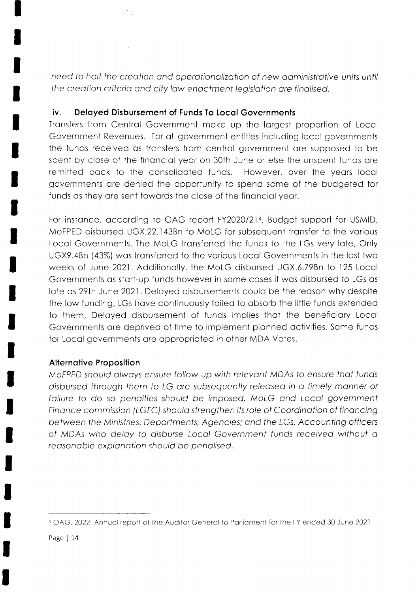need to halt the creation and operationalization of new administrative units until the creation criteria and city law enactment legislation are finalised.

 $\sim$   $\alpha$ 

#### Delayed Disbursement of Funds To Local Governments İΥ.

 $\mathcal{L}^{(2)}(\mathbb{R})$ 

Transfers from Central Government make up the largest proportion of Local Government Revenues. For all government entities including local governments the funds received as transfers from central government are supposed to be spent by close of the financial year on 30th June or else the unspent funds are remitted back to the consolidated funds. However, over the years local governments are denied the opportunity to spend some of the budgeted for funds as they are sent towards the close of the financial year.

For instance, according to OAG report FY2020/214, Budget support for USMID, MoFPED disbursed UGX.22.143Bn to MoLG for subsequent transfer to the various Local Governments. The MoLG transferred the funds to the LGs very late, Only UGX9.4Bn (43%) was transferred to the various Local Governments in the last two weeks of June 2021. Additionally, the MoLG disbursed UGX.6.79Bn to 125 Local Governments as start-up funds however in some cases it was disbursed to LGs as late as 29th June 2021. Delayed disbursements could be the reason why despite the low funding, LGs have continuously failed to absorb the little funds extended to them, Delayed disbursement of funds implies that the beneficiary Local Governments are deprived of time to implement planned activities. Some funds for Local governments are appropriated in other MDA Votes.

### **Alternative Proposition**

MoFPED should always ensure follow up with relevant MDAs to ensure that funds disbursed through them to LG are subsequently released in a timely manner or failure to do so penalties should be imposed. MoLG and Local government Finance commission (LGFC) should strengthen its role of Coordination of financing between the Ministries, Departments, Agencies; and the LGs. Accounting officers of MDAs who delay to disburse Local Government funds received without a reasonable explanation should be penalised.

<sup>4</sup> OAG, 2022. Annual report of the Auditor General to Parliament for the FY ended 30 June 2021